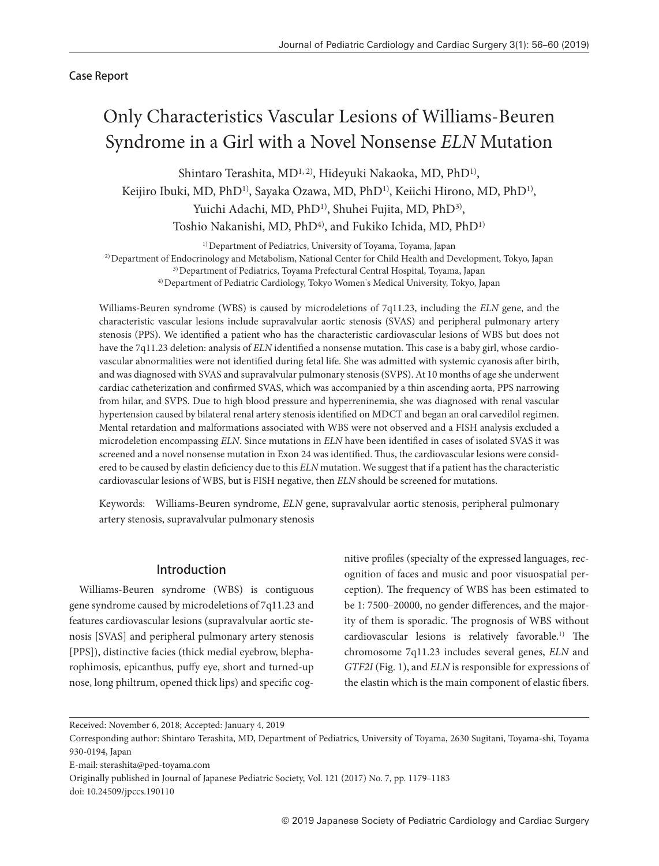Case Report

# Only Characteristics Vascular Lesions of Williams-Beuren Syndrome in a Girl with a Novel Nonsense *ELN* Mutation

Shintaro Terashita, MD<sup>1, 2)</sup>, Hideyuki Nakaoka, MD, PhD<sup>1)</sup>, Keijiro Ibuki, MD, PhD<sup>1)</sup>, Sayaka Ozawa, MD, PhD<sup>1)</sup>, Keiichi Hirono, MD, PhD<sup>1)</sup>, Yuichi Adachi, MD, PhD<sup>1)</sup>, Shuhei Fujita, MD, PhD<sup>3)</sup>, Toshio Nakanishi, MD, PhD<sup>4)</sup>, and Fukiko Ichida, MD, PhD<sup>1)</sup>

<sup>1)</sup> Department of Pediatrics, University of Toyama, Toyama, Japan 2) Department of Endocrinology and Metabolism, National Center for Child Health and Development, Tokyo, Japan 3) Department of Pediatrics, Toyama Prefectural Central Hospital, Toyama, Japan 4) Department of Pediatric Cardiology, Tokyo Women's Medical University, Tokyo, Japan

Williams-Beuren syndrome (WBS) is caused by microdeletions of 7q11.23, including the *ELN* gene, and the characteristic vascular lesions include supravalvular aortic stenosis (SVAS) and peripheral pulmonary artery stenosis (PPS). We identified a patient who has the characteristic cardiovascular lesions of WBS but does not have the 7q11.23 deletion: analysis of *ELN* identified a nonsense mutation. This case is a baby girl, whose cardiovascular abnormalities were not identified during fetal life. She was admitted with systemic cyanosis after birth, and was diagnosed with SVAS and supravalvular pulmonary stenosis (SVPS). At 10 months of age she underwent cardiac catheterization and confirmed SVAS, which was accompanied by a thin ascending aorta, PPS narrowing from hilar, and SVPS. Due to high blood pressure and hyperreninemia, she was diagnosed with renal vascular hypertension caused by bilateral renal artery stenosis identified on MDCT and began an oral carvedilol regimen. Mental retardation and malformations associated with WBS were not observed and a FISH analysis excluded a microdeletion encompassing *ELN*. Since mutations in *ELN* have been identified in cases of isolated SVAS it was screened and a novel nonsense mutation in Exon 24 was identified. Thus, the cardiovascular lesions were considered to be caused by elastin deficiency due to this *ELN* mutation. We suggest that if a patient has the characteristic cardiovascular lesions of WBS, but is FISH negative, then *ELN* should be screened for mutations.

Keywords: Williams-Beuren syndrome, *ELN* gene, supravalvular aortic stenosis, peripheral pulmonary artery stenosis, supravalvular pulmonary stenosis

# Introduction

Williams-Beuren syndrome (WBS) is contiguous gene syndrome caused by microdeletions of 7q11.23 and features cardiovascular lesions (supravalvular aortic stenosis [SVAS] and peripheral pulmonary artery stenosis [PPS]), distinctive facies (thick medial eyebrow, blepharophimosis, epicanthus, puffy eye, short and turned-up nose, long philtrum, opened thick lips) and specific cognitive profiles (specialty of the expressed languages, recognition of faces and music and poor visuospatial perception). The frequency of WBS has been estimated to be 1: 7500-20000, no gender differences, and the majority of them is sporadic. The prognosis of WBS without cardiovascular lesions is relatively favorable.1) The chromosome 7q11.23 includes several genes, *ELN* and *GTF2I* (Fig. 1), and *ELN* is responsible for expressions of the elastin which is the main component of elastic fibers.

Received: November 6, 2018; Accepted: January 4, 2019

Corresponding author: Shintaro Terashita, MD, Department of Pediatrics, University of Toyama, 2630 Sugitani, Toyama-shi, Toyama 930-0194, Japan

E-mail: sterashita@ped-toyama.com

Originally published in Journal of Japanese Pediatric Society, Vol. 121 (2017) No. 7, pp. 1179-1183

doi: 10.24509/jpccs.190110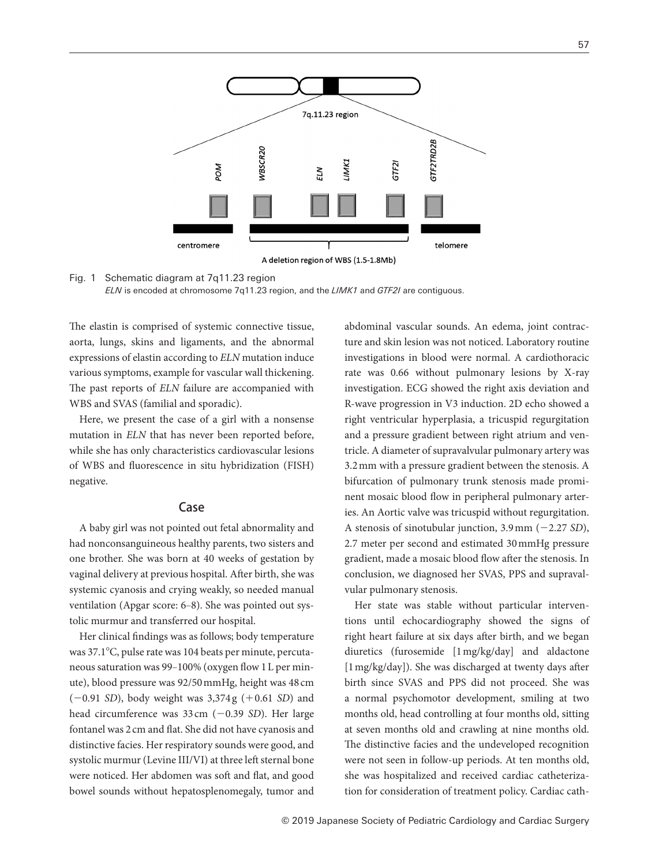

A deletion region of WBS (1.5-1.8Mb)

#### Fig. 1 Schematic diagram at 7q11.23 region



The elastin is comprised of systemic connective tissue, aorta, lungs, skins and ligaments, and the abnormal expressions of elastin according to *ELN* mutation induce various symptoms, example for vascular wall thickening. The past reports of *ELN* failure are accompanied with WBS and SVAS (familial and sporadic).

Here, we present the case of a girl with a nonsense mutation in *ELN* that has never been reported before, while she has only characteristics cardiovascular lesions of WBS and fluorescence in situ hybridization (FISH) negative.

## Case

A baby girl was not pointed out fetal abnormality and had nonconsanguineous healthy parents, two sisters and one brother. She was born at 40 weeks of gestation by vaginal delivery at previous hospital. After birth, she was systemic cyanosis and crying weakly, so needed manual ventilation (Apgar score: 6-8). She was pointed out systolic murmur and transferred our hospital.

Her clinical findings was as follows; body temperature was 37.1°C, pulse rate was 104 beats per minute, percutaneous saturation was 99–100% (oxygen flow 1 L per minute), blood pressure was 92/50 mmHg, height was 48 cm (−0.91 *SD*), body weight was 3,374 g (+0.61 *SD*) and head circumference was 33 cm (−0.39 *SD*). Her large fontanel was 2 cm and flat. She did not have cyanosis and distinctive facies. Her respiratory sounds were good, and systolic murmur (Levine III/VI) at three left sternal bone were noticed. Her abdomen was soft and flat, and good bowel sounds without hepatosplenomegaly, tumor and abdominal vascular sounds. An edema, joint contracture and skin lesion was not noticed. Laboratory routine investigations in blood were normal. A cardiothoracic rate was 0.66 without pulmonary lesions by X-ray investigation. ECG showed the right axis deviation and R-wave progression in V3 induction. 2D echo showed a right ventricular hyperplasia, a tricuspid regurgitation and a pressure gradient between right atrium and ventricle. A diameter of supravalvular pulmonary artery was 3.2 mm with a pressure gradient between the stenosis. A bifurcation of pulmonary trunk stenosis made prominent mosaic blood flow in peripheral pulmonary arteries. An Aortic valve was tricuspid without regurgitation. A stenosis of sinotubular junction, 3.9 mm (−2.27 *SD*), 2.7 meter per second and estimated 30 mmHg pressure gradient, made a mosaic blood flow after the stenosis. In conclusion, we diagnosed her SVAS, PPS and supravalvular pulmonary stenosis.

Her state was stable without particular interventions until echocardiography showed the signs of right heart failure at six days after birth, and we began diuretics (furosemide [1 mg/kg/day] and aldactone [1 mg/kg/day]). She was discharged at twenty days after birth since SVAS and PPS did not proceed. She was a normal psychomotor development, smiling at two months old, head controlling at four months old, sitting at seven months old and crawling at nine months old. The distinctive facies and the undeveloped recognition were not seen in follow-up periods. At ten months old, she was hospitalized and received cardiac catheterization for consideration of treatment policy. Cardiac cath-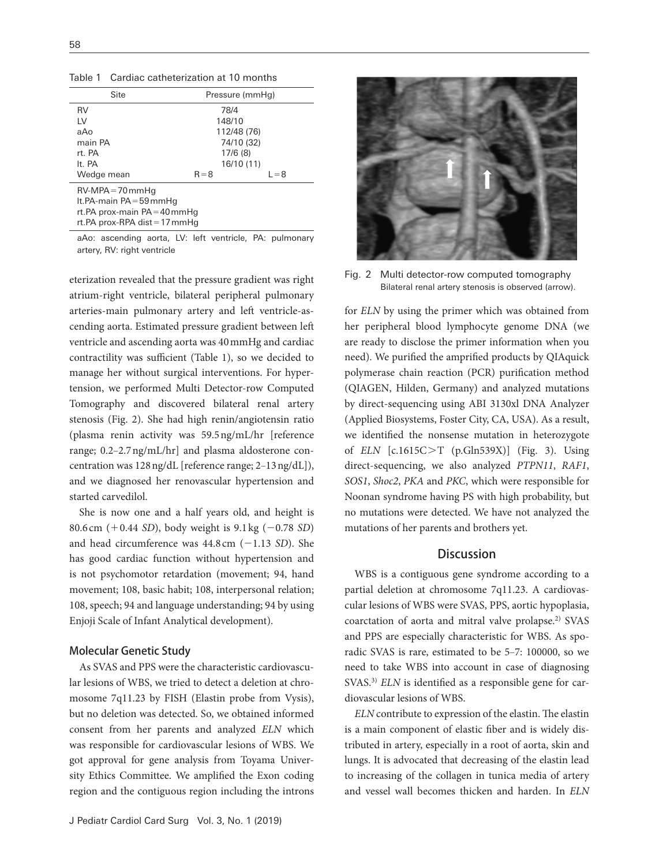Table 1 Cardiac catheterization at 10 months

| Site                                                                                | Pressure (mmHg) |         |
|-------------------------------------------------------------------------------------|-----------------|---------|
| <b>RV</b>                                                                           | 78/4            |         |
| LV                                                                                  | 148/10          |         |
| aAo                                                                                 | 112/48 (76)     |         |
| main PA                                                                             | 74/10 (32)      |         |
| rt PA                                                                               | 17/6(8)         |         |
| It PA                                                                               | 16/10 (11)      |         |
| Wedge mean                                                                          | $R = 8$         | $L = 8$ |
| $RV-MPA = 70$ mmHa<br>It. PA-main $PA = 59$ mmHq<br>rt. PA prox-main $PA = 40$ mmHq |                 |         |
| rt. PA prox-RPA dist $= 17$ mmHq                                                    |                 |         |

aAo: ascending aorta, LV: left ventricle, PA: pulmonary artery, RV: right ventricle

eterization revealed that the pressure gradient was right atrium-right ventricle, bilateral peripheral pulmonary arteries-main pulmonary artery and left ventricle-ascending aorta. Estimated pressure gradient between left ventricle and ascending aorta was 40 mmHg and cardiac contractility was sufficient (Table 1), so we decided to manage her without surgical interventions. For hypertension, we performed Multi Detector-row Computed Tomography and discovered bilateral renal artery stenosis (Fig. 2). She had high renin/angiotensin ratio (plasma renin activity was 59.5 ng/mL/hr [reference range; 0.2-2.7 ng/mL/hr] and plasma aldosterone concentration was  $128$  ng/dL [reference range;  $2-13$  ng/dL]), and we diagnosed her renovascular hypertension and started carvedilol.

She is now one and a half years old, and height is 80.6 cm (+0.44 *SD*), body weight is 9.1 kg (−0.78 *SD*) and head circumference was 44.8 cm (−1.13 *SD*). She has good cardiac function without hypertension and is not psychomotor retardation (movement; 94, hand movement; 108, basic habit; 108, interpersonal relation; 108, speech; 94 and language understanding; 94 by using Enjoji Scale of Infant Analytical development).

#### Molecular Genetic Study

As SVAS and PPS were the characteristic cardiovascular lesions of WBS, we tried to detect a deletion at chromosome 7q11.23 by FISH (Elastin probe from Vysis), but no deletion was detected. So, we obtained informed consent from her parents and analyzed *ELN* which was responsible for cardiovascular lesions of WBS. We got approval for gene analysis from Toyama University Ethics Committee. We amplified the Exon coding region and the contiguous region including the introns



Fig. 2 Multi detector-row computed tomography Bilateral renal artery stenosis is observed (arrow).

for *ELN* by using the primer which was obtained from her peripheral blood lymphocyte genome DNA (we are ready to disclose the primer information when you need). We purified the amprified products by QIAquick polymerase chain reaction (PCR) purification method (QIAGEN, Hilden, Germany) and analyzed mutations by direct-sequencing using ABI 3130xl DNA Analyzer (Applied Biosystems, Foster City, CA, USA). As a result, we identified the nonsense mutation in heterozygote of *ELN* [c.1615C>T (p.Gln539X)] (Fig. 3). Using direct-sequencing, we also analyzed *PTPN11*, *RAF1*, *SOS1*, *Shoc2*, *PKA* and *PKC*, which were responsible for Noonan syndrome having PS with high probability, but no mutations were detected. We have not analyzed the mutations of her parents and brothers yet.

# **Discussion**

WBS is a contiguous gene syndrome according to a partial deletion at chromosome 7q11.23. A cardiovascular lesions of WBS were SVAS, PPS, aortic hypoplasia, coarctation of aorta and mitral valve prolapse.2) SVAS and PPS are especially characteristic for WBS. As sporadic SVAS is rare, estimated to be 5-7: 100000, so we need to take WBS into account in case of diagnosing SVAS.<sup>3)</sup> *ELN* is identified as a responsible gene for cardiovascular lesions of WBS.

*ELN* contribute to expression of the elastin. The elastin is a main component of elastic fiber and is widely distributed in artery, especially in a root of aorta, skin and lungs. It is advocated that decreasing of the elastin lead to increasing of the collagen in tunica media of artery and vessel wall becomes thicken and harden. In *ELN*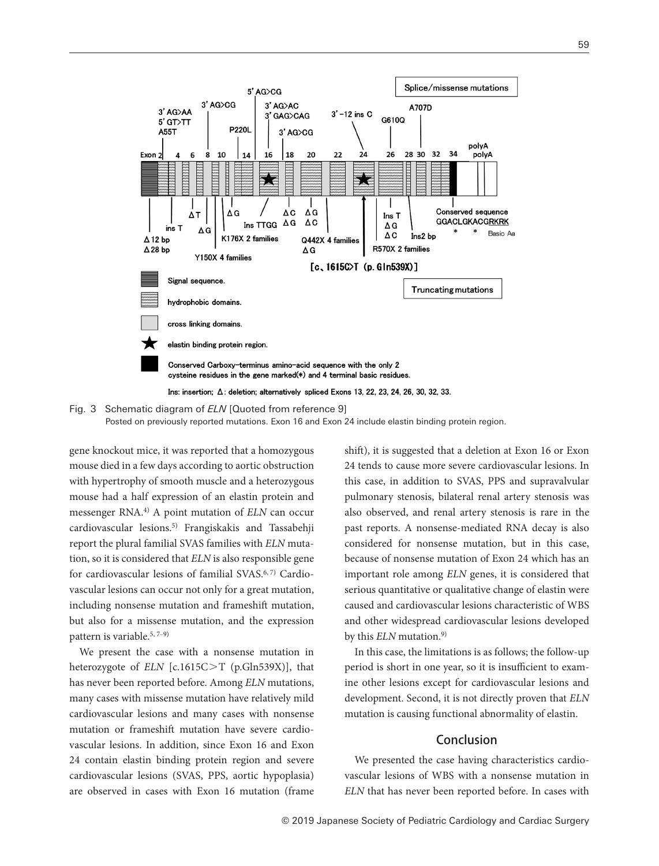



gene knockout mice, it was reported that a homozygous mouse died in a few days according to aortic obstruction with hypertrophy of smooth muscle and a heterozygous mouse had a half expression of an elastin protein and messenger RNA.4) A point mutation of *ELN* can occur cardiovascular lesions.5) Frangiskakis and Tassabehji report the plural familial SVAS families with *ELN* mutation, so it is considered that *ELN* is also responsible gene for cardiovascular lesions of familial SVAS.6, 7) Cardiovascular lesions can occur not only for a great mutation, including nonsense mutation and frameshift mutation, but also for a missense mutation, and the expression pattern is variable.<sup>5, 7-9)</sup>

We present the case with a nonsense mutation in heterozygote of *ELN* [c.1615C>T (p.Gln539X)], that has never been reported before. Among *ELN* mutations, many cases with missense mutation have relatively mild cardiovascular lesions and many cases with nonsense mutation or frameshift mutation have severe cardiovascular lesions. In addition, since Exon 16 and Exon 24 contain elastin binding protein region and severe cardiovascular lesions (SVAS, PPS, aortic hypoplasia) are observed in cases with Exon 16 mutation (frame

shift), it is suggested that a deletion at Exon 16 or Exon 24 tends to cause more severe cardiovascular lesions. In this case, in addition to SVAS, PPS and supravalvular pulmonary stenosis, bilateral renal artery stenosis was also observed, and renal artery stenosis is rare in the past reports. A nonsense-mediated RNA decay is also considered for nonsense mutation, but in this case, because of nonsense mutation of Exon 24 which has an important role among *ELN* genes, it is considered that serious quantitative or qualitative change of elastin were caused and cardiovascular lesions characteristic of WBS and other widespread cardiovascular lesions developed by this *ELN* mutation.<sup>9)</sup>

In this case, the limitations is as follows; the follow-up period is short in one year, so it is insufficient to examine other lesions except for cardiovascular lesions and development. Second, it is not directly proven that *ELN* mutation is causing functional abnormality of elastin.

## Conclusion

We presented the case having characteristics cardiovascular lesions of WBS with a nonsense mutation in *ELN* that has never been reported before. In cases with